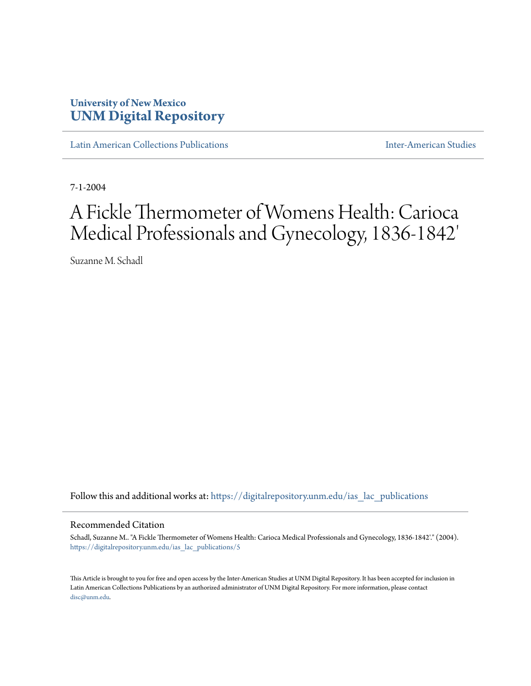## **University of New Mexico [UNM Digital Repository](https://digitalrepository.unm.edu?utm_source=digitalrepository.unm.edu%2Fias_lac_publications%2F5&utm_medium=PDF&utm_campaign=PDFCoverPages)**

[Latin American Collections Publications](https://digitalrepository.unm.edu/ias_lac_publications?utm_source=digitalrepository.unm.edu%2Fias_lac_publications%2F5&utm_medium=PDF&utm_campaign=PDFCoverPages) [Inter-American Studies](https://digitalrepository.unm.edu/ias?utm_source=digitalrepository.unm.edu%2Fias_lac_publications%2F5&utm_medium=PDF&utm_campaign=PDFCoverPages)

7-1-2004

# A Fickle Thermometer of Womens Health: Carioca Medical Professionals and Gynecology, 1836-1842'

Suzanne M. Schadl

Follow this and additional works at: [https://digitalrepository.unm.edu/ias\\_lac\\_publications](https://digitalrepository.unm.edu/ias_lac_publications?utm_source=digitalrepository.unm.edu%2Fias_lac_publications%2F5&utm_medium=PDF&utm_campaign=PDFCoverPages)

#### Recommended Citation

Schadl, Suzanne M.. "A Fickle Thermometer of Womens Health: Carioca Medical Professionals and Gynecology, 1836-1842'." (2004). [https://digitalrepository.unm.edu/ias\\_lac\\_publications/5](https://digitalrepository.unm.edu/ias_lac_publications/5?utm_source=digitalrepository.unm.edu%2Fias_lac_publications%2F5&utm_medium=PDF&utm_campaign=PDFCoverPages)

This Article is brought to you for free and open access by the Inter-American Studies at UNM Digital Repository. It has been accepted for inclusion in Latin American Collections Publications by an authorized administrator of UNM Digital Repository. For more information, please contact [disc@unm.edu](mailto:disc@unm.edu).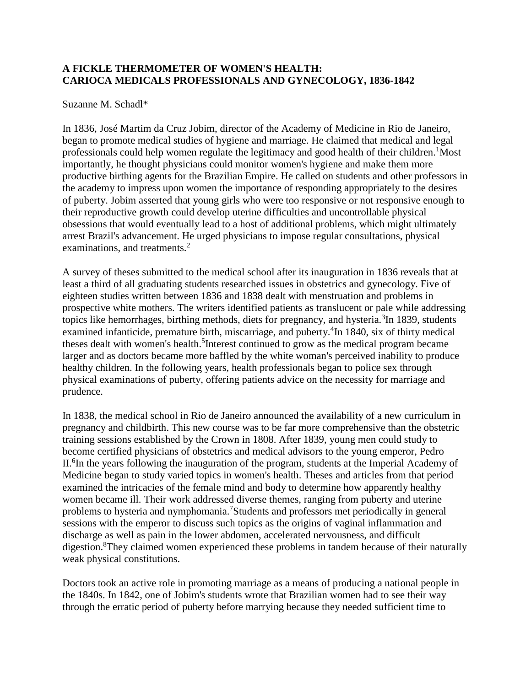### **A FICKLE THERMOMETER OF WOMEN'S HEALTH: CARIOCA MEDICALS PROFESSIONALS AND GYNECOLOGY, 1836-1842**

#### Suzanne M. Schadl\*

In 1836, José Martim da Cruz Jobim, director of the Academy of Medicine in Rio de Janeiro, began to promote medical studies of hygiene and marriage. He claimed that medical and legal professionals could help women regulate the legitimacy and good health of their children.<sup>1</sup>Most importantly, he thought physicians could monitor women's hygiene and make them more productive birthing agents for the Brazilian Empire. He called on students and other professors in the academy to impress upon women the importance of responding appropriately to the desires of puberty. Jobim asserted that young girls who were too responsive or not responsive enough to their reproductive growth could develop uterine difficulties and uncontrollable physical obsessions that would eventually lead to a host of additional problems, which might ultimately arrest Brazil's advancement. He urged physicians to impose regular consultations, physical examinations, and treatments.<sup>2</sup>

A survey of theses submitted to the medical school after its inauguration in 1836 reveals that at least a third of all graduating students researched issues in obstetrics and gynecology. Five of eighteen studies written between 1836 and 1838 dealt with menstruation and problems in prospective white mothers. The writers identified patients as translucent or pale while addressing topics like hemorrhages, birthing methods, diets for pregnancy, and hysteria.<sup>3</sup>In 1839, students examined infanticide, premature birth, miscarriage, and puberty.<sup>4</sup>In 1840, six of thirty medical theses dealt with women's health.<sup>5</sup> Interest continued to grow as the medical program became larger and as doctors became more baffled by the white woman's perceived inability to produce healthy children. In the following years, health professionals began to police sex through physical examinations of puberty, offering patients advice on the necessity for marriage and prudence.

In 1838, the medical school in Rio de Janeiro announced the availability of a new curriculum in pregnancy and childbirth. This new course was to be far more comprehensive than the obstetric training sessions established by the Crown in 1808. After 1839, young men could study to become certified physicians of obstetrics and medical advisors to the young emperor, Pedro II.<sup>6</sup>In the years following the inauguration of the program, students at the Imperial Academy of Medicine began to study varied topics in women's health. Theses and articles from that period examined the intricacies of the female mind and body to determine how apparently healthy women became ill. Their work addressed diverse themes, ranging from puberty and uterine problems to hysteria and nymphomania.<sup>7</sup>Students and professors met periodically in general sessions with the emperor to discuss such topics as the origins of vaginal inflammation and discharge as well as pain in the lower abdomen, accelerated nervousness, and difficult digestion.<sup>8</sup>They claimed women experienced these problems in tandem because of their naturally weak physical constitutions.

Doctors took an active role in promoting marriage as a means of producing a national people in the 1840s. In 1842, one of Jobim's students wrote that Brazilian women had to see their way through the erratic period of puberty before marrying because they needed sufficient time to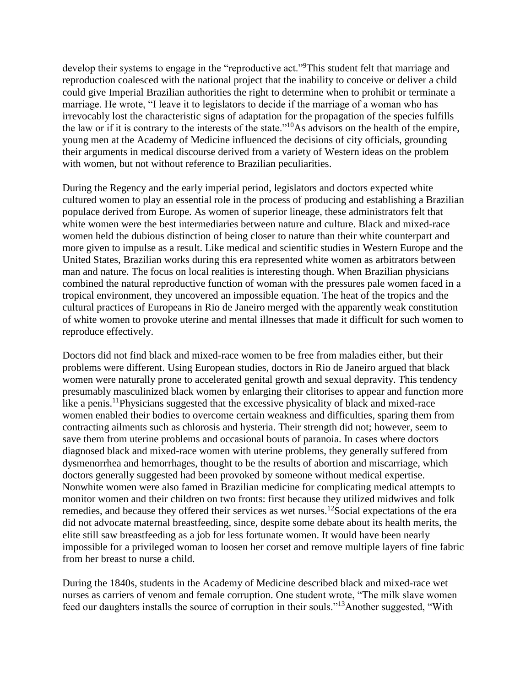develop their systems to engage in the "reproductive act."<sup>9</sup>This student felt that marriage and reproduction coalesced with the national project that the inability to conceive or deliver a child could give Imperial Brazilian authorities the right to determine when to prohibit or terminate a marriage. He wrote, "I leave it to legislators to decide if the marriage of a woman who has irrevocably lost the characteristic signs of adaptation for the propagation of the species fulfills the law or if it is contrary to the interests of the state."<sup>10</sup>As advisors on the health of the empire, young men at the Academy of Medicine influenced the decisions of city officials, grounding their arguments in medical discourse derived from a variety of Western ideas on the problem with women, but not without reference to Brazilian peculiarities.

During the Regency and the early imperial period, legislators and doctors expected white cultured women to play an essential role in the process of producing and establishing a Brazilian populace derived from Europe. As women of superior lineage, these administrators felt that white women were the best intermediaries between nature and culture. Black and mixed-race women held the dubious distinction of being closer to nature than their white counterpart and more given to impulse as a result. Like medical and scientific studies in Western Europe and the United States, Brazilian works during this era represented white women as arbitrators between man and nature. The focus on local realities is interesting though. When Brazilian physicians combined the natural reproductive function of woman with the pressures pale women faced in a tropical environment, they uncovered an impossible equation. The heat of the tropics and the cultural practices of Europeans in Rio de Janeiro merged with the apparently weak constitution of white women to provoke uterine and mental illnesses that made it difficult for such women to reproduce effectively.

Doctors did not find black and mixed-race women to be free from maladies either, but their problems were different. Using European studies, doctors in Rio de Janeiro argued that black women were naturally prone to accelerated genital growth and sexual depravity. This tendency presumably masculinized black women by enlarging their clitorises to appear and function more like a penis.<sup>11</sup>Physicians suggested that the excessive physicality of black and mixed-race women enabled their bodies to overcome certain weakness and difficulties, sparing them from contracting ailments such as chlorosis and hysteria. Their strength did not; however, seem to save them from uterine problems and occasional bouts of paranoia. In cases where doctors diagnosed black and mixed-race women with uterine problems, they generally suffered from dysmenorrhea and hemorrhages, thought to be the results of abortion and miscarriage, which doctors generally suggested had been provoked by someone without medical expertise. Nonwhite women were also famed in Brazilian medicine for complicating medical attempts to monitor women and their children on two fronts: first because they utilized midwives and folk remedies, and because they offered their services as wet nurses.<sup>12</sup>Social expectations of the era did not advocate maternal breastfeeding, since, despite some debate about its health merits, the elite still saw breastfeeding as a job for less fortunate women. It would have been nearly impossible for a privileged woman to loosen her corset and remove multiple layers of fine fabric from her breast to nurse a child.

During the 1840s, students in the Academy of Medicine described black and mixed-race wet nurses as carriers of venom and female corruption. One student wrote, "The milk slave women feed our daughters installs the source of corruption in their souls."<sup>13</sup>Another suggested, "With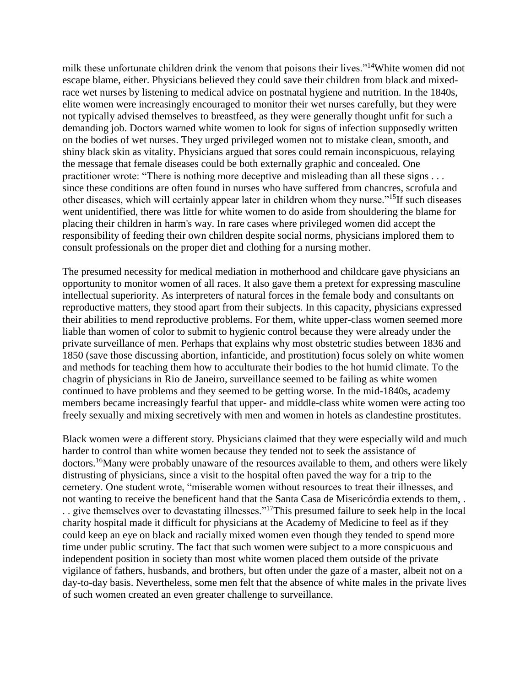milk these unfortunate children drink the venom that poisons their lives."<sup>14</sup>White women did not escape blame, either. Physicians believed they could save their children from black and mixedrace wet nurses by listening to medical advice on postnatal hygiene and nutrition. In the 1840s, elite women were increasingly encouraged to monitor their wet nurses carefully, but they were not typically advised themselves to breastfeed, as they were generally thought unfit for such a demanding job. Doctors warned white women to look for signs of infection supposedly written on the bodies of wet nurses. They urged privileged women not to mistake clean, smooth, and shiny black skin as vitality. Physicians argued that sores could remain inconspicuous, relaying the message that female diseases could be both externally graphic and concealed. One practitioner wrote: "There is nothing more deceptive and misleading than all these signs . . . since these conditions are often found in nurses who have suffered from chancres, scrofula and other diseases, which will certainly appear later in children whom they nurse."<sup>15</sup>If such diseases went unidentified, there was little for white women to do aside from shouldering the blame for placing their children in harm's way. In rare cases where privileged women did accept the responsibility of feeding their own children despite social norms, physicians implored them to consult professionals on the proper diet and clothing for a nursing mother.

The presumed necessity for medical mediation in motherhood and childcare gave physicians an opportunity to monitor women of all races. It also gave them a pretext for expressing masculine intellectual superiority. As interpreters of natural forces in the female body and consultants on reproductive matters, they stood apart from their subjects. In this capacity, physicians expressed their abilities to mend reproductive problems. For them, white upper-class women seemed more liable than women of color to submit to hygienic control because they were already under the private surveillance of men. Perhaps that explains why most obstetric studies between 1836 and 1850 (save those discussing abortion, infanticide, and prostitution) focus solely on white women and methods for teaching them how to acculturate their bodies to the hot humid climate. To the chagrin of physicians in Rio de Janeiro, surveillance seemed to be failing as white women continued to have problems and they seemed to be getting worse. In the mid-1840s, academy members became increasingly fearful that upper- and middle-class white women were acting too freely sexually and mixing secretively with men and women in hotels as clandestine prostitutes.

Black women were a different story. Physicians claimed that they were especially wild and much harder to control than white women because they tended not to seek the assistance of doctors.<sup>16</sup>Many were probably unaware of the resources available to them, and others were likely distrusting of physicians, since a visit to the hospital often paved the way for a trip to the cemetery. One student wrote, "miserable women without resources to treat their illnesses, and not wanting to receive the beneficent hand that the Santa Casa de Misericórdia extends to them, . . . give themselves over to devastating illnesses."<sup>17</sup>This presumed failure to seek help in the local charity hospital made it difficult for physicians at the Academy of Medicine to feel as if they could keep an eye on black and racially mixed women even though they tended to spend more time under public scrutiny. The fact that such women were subject to a more conspicuous and independent position in society than most white women placed them outside of the private vigilance of fathers, husbands, and brothers, but often under the gaze of a master, albeit not on a day-to-day basis. Nevertheless, some men felt that the absence of white males in the private lives of such women created an even greater challenge to surveillance.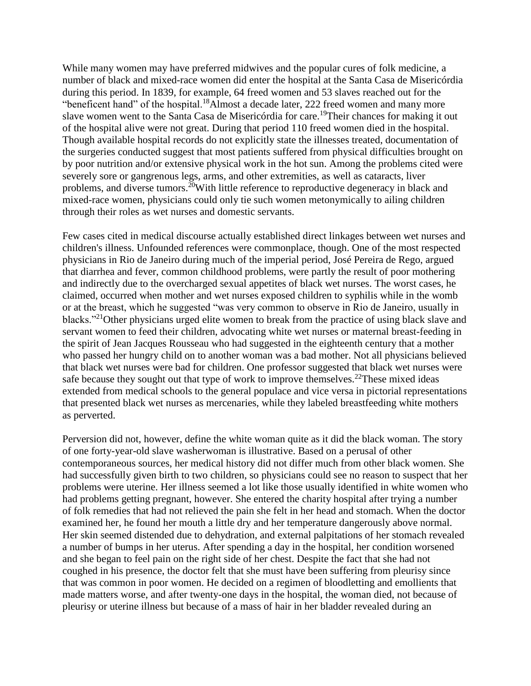While many women may have preferred midwives and the popular cures of folk medicine, a number of black and mixed-race women did enter the hospital at the Santa Casa de Misericórdia during this period. In 1839, for example, 64 freed women and 53 slaves reached out for the "beneficent hand" of the hospital.<sup>18</sup>Almost a decade later, 222 freed women and many more slave women went to the Santa Casa de Misericórdia for care.<sup>19</sup>Their chances for making it out of the hospital alive were not great. During that period 110 freed women died in the hospital. Though available hospital records do not explicitly state the illnesses treated, documentation of the surgeries conducted suggest that most patients suffered from physical difficulties brought on by poor nutrition and/or extensive physical work in the hot sun. Among the problems cited were severely sore or gangrenous legs, arms, and other extremities, as well as cataracts, liver problems, and diverse tumors.<sup>20</sup>With little reference to reproductive degeneracy in black and mixed-race women, physicians could only tie such women metonymically to ailing children through their roles as wet nurses and domestic servants.

Few cases cited in medical discourse actually established direct linkages between wet nurses and children's illness. Unfounded references were commonplace, though. One of the most respected physicians in Rio de Janeiro during much of the imperial period, José Pereira de Rego, argued that diarrhea and fever, common childhood problems, were partly the result of poor mothering and indirectly due to the overcharged sexual appetites of black wet nurses. The worst cases, he claimed, occurred when mother and wet nurses exposed children to syphilis while in the womb or at the breast, which he suggested "was very common to observe in Rio de Janeiro, usually in blacks."<sup>21</sup>Other physicians urged elite women to break from the practice of using black slave and servant women to feed their children, advocating white wet nurses or maternal breast-feeding in the spirit of Jean Jacques Rousseau who had suggested in the eighteenth century that a mother who passed her hungry child on to another woman was a bad mother. Not all physicians believed that black wet nurses were bad for children. One professor suggested that black wet nurses were safe because they sought out that type of work to improve themselves.<sup>22</sup>These mixed ideas extended from medical schools to the general populace and vice versa in pictorial representations that presented black wet nurses as mercenaries, while they labeled breastfeeding white mothers as perverted.

Perversion did not, however, define the white woman quite as it did the black woman. The story of one forty-year-old slave washerwoman is illustrative. Based on a perusal of other contemporaneous sources, her medical history did not differ much from other black women. She had successfully given birth to two children, so physicians could see no reason to suspect that her problems were uterine. Her illness seemed a lot like those usually identified in white women who had problems getting pregnant, however. She entered the charity hospital after trying a number of folk remedies that had not relieved the pain she felt in her head and stomach. When the doctor examined her, he found her mouth a little dry and her temperature dangerously above normal. Her skin seemed distended due to dehydration, and external palpitations of her stomach revealed a number of bumps in her uterus. After spending a day in the hospital, her condition worsened and she began to feel pain on the right side of her chest. Despite the fact that she had not coughed in his presence, the doctor felt that she must have been suffering from pleurisy since that was common in poor women. He decided on a regimen of bloodletting and emollients that made matters worse, and after twenty-one days in the hospital, the woman died, not because of pleurisy or uterine illness but because of a mass of hair in her bladder revealed during an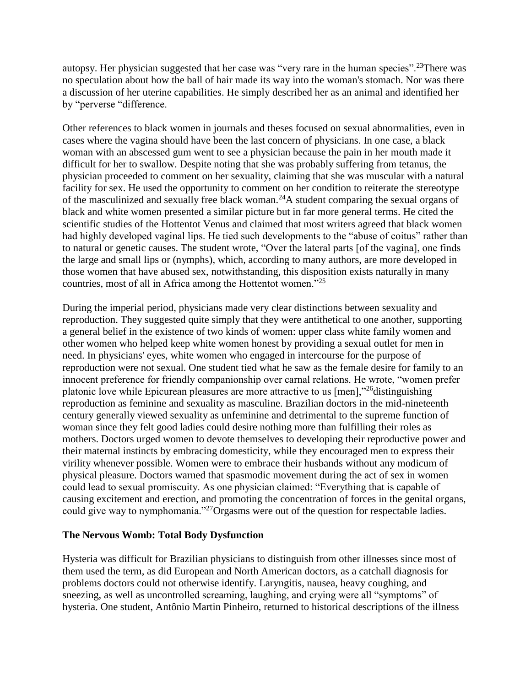autopsy. Her physician suggested that her case was "very rare in the human species".<sup>23</sup>There was no speculation about how the ball of hair made its way into the woman's stomach. Nor was there a discussion of her uterine capabilities. He simply described her as an animal and identified her by "perverse "difference.

Other references to black women in journals and theses focused on sexual abnormalities, even in cases where the vagina should have been the last concern of physicians. In one case, a black woman with an abscessed gum went to see a physician because the pain in her mouth made it difficult for her to swallow. Despite noting that she was probably suffering from tetanus, the physician proceeded to comment on her sexuality, claiming that she was muscular with a natural facility for sex. He used the opportunity to comment on her condition to reiterate the stereotype of the masculinized and sexually free black woman.<sup>24</sup>A student comparing the sexual organs of black and white women presented a similar picture but in far more general terms. He cited the scientific studies of the Hottentot Venus and claimed that most writers agreed that black women had highly developed vaginal lips. He tied such developments to the "abuse of coitus" rather than to natural or genetic causes. The student wrote, "Over the lateral parts [of the vagina], one finds the large and small lips or (nymphs), which, according to many authors, are more developed in those women that have abused sex, notwithstanding, this disposition exists naturally in many countries, most of all in Africa among the Hottentot women."<sup>25</sup>

During the imperial period, physicians made very clear distinctions between sexuality and reproduction. They suggested quite simply that they were antithetical to one another, supporting a general belief in the existence of two kinds of women: upper class white family women and other women who helped keep white women honest by providing a sexual outlet for men in need. In physicians' eyes, white women who engaged in intercourse for the purpose of reproduction were not sexual. One student tied what he saw as the female desire for family to an innocent preference for friendly companionship over carnal relations. He wrote, "women prefer platonic love while Epicurean pleasures are more attractive to us [men],"<sup>26</sup>distinguishing reproduction as feminine and sexuality as masculine. Brazilian doctors in the mid-nineteenth century generally viewed sexuality as unfeminine and detrimental to the supreme function of woman since they felt good ladies could desire nothing more than fulfilling their roles as mothers. Doctors urged women to devote themselves to developing their reproductive power and their maternal instincts by embracing domesticity, while they encouraged men to express their virility whenever possible. Women were to embrace their husbands without any modicum of physical pleasure. Doctors warned that spasmodic movement during the act of sex in women could lead to sexual promiscuity. As one physician claimed: "Everything that is capable of causing excitement and erection, and promoting the concentration of forces in the genital organs, could give way to nymphomania."<sup>27</sup>Orgasms were out of the question for respectable ladies.

#### **The Nervous Womb: Total Body Dysfunction**

Hysteria was difficult for Brazilian physicians to distinguish from other illnesses since most of them used the term, as did European and North American doctors, as a catchall diagnosis for problems doctors could not otherwise identify. Laryngitis, nausea, heavy coughing, and sneezing, as well as uncontrolled screaming, laughing, and crying were all "symptoms" of hysteria. One student, Antônio Martin Pinheiro, returned to historical descriptions of the illness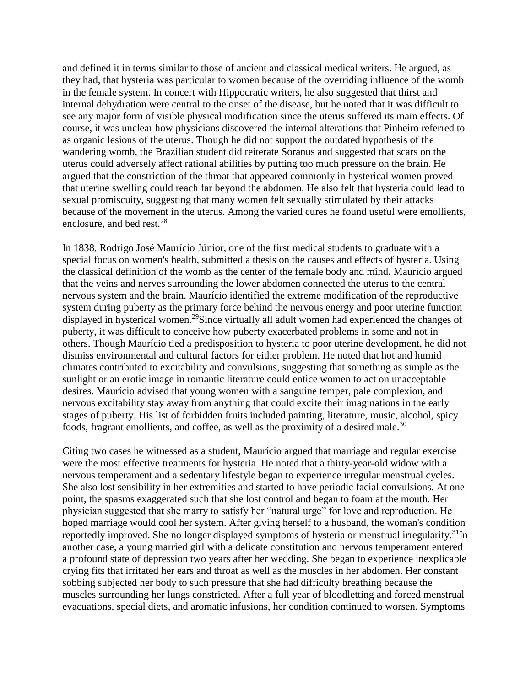and defined it in terms similar to those of ancient and classical medical writers. He argued, as they had, that hysteria was particular to women because of the overriding influence of the womb in the female system. In concert with Hippocratic writers, he also suggested that thirst and internal dehydration were central to the onset of the disease, but he noted that it was difficult to see any major form of visible physical modification since the uterus suffered its main effects. Of course, it was unclear how physicians discovered the internal alterations that Pinheiro referred to as organic lesions of the uterus. Though he did not support the outdated hypothesis of the wandering womb, the Brazilian student did reiterate Soranus and suggested that scars on the uterus could adversely affect rational abilities by putting too much pressure on the brain. He argued that the constriction of the throat that appeared commonly in hysterical women proved that uterine swelling could reach far beyond the abdomen. He also felt that hysteria could lead to sexual promiscuity, suggesting that many women felt sexually stimulated by their attacks because of the movement in the uterus. Among the varied cures he found useful were emollients, enclosure, and bed rest.<sup>28</sup>

In 1838, Rodrigo José Maurício Júnior, one of the first medical students to graduate with a special focus on women's health, submitted a thesis on the causes and effects of hysteria. Using the classical definition of the womb as the center of the female body and mind, Maurício argued that the veins and nerves surrounding the lower abdomen connected the uterus to the central nervous system and the brain. Maurício identified the extreme modification of the reproductive system during puberty as the primary force behind the nervous energy and poor uterine function displayed in hysterical women.<sup>29</sup>Since virtually all adult women had experienced the changes of puberty, it was difficult to conceive how puberty exacerbated problems in some and not in others. Though Maurício tied a predisposition to hysteria to poor uterine development, he did not dismiss environmental and cultural factors for either problem. He noted that hot and humid climates contributed to excitability and convulsions, suggesting that something as simple as the sunlight or an erotic image in romantic literature could entice women to act on unacceptable desires. Maurício advised that young women with a sanguine temper, pale complexion, and nervous excitability stay away from anything that could excite their imaginations in the early stages of puberty. His list of forbidden fruits included painting, literature, music, alcohol, spicy foods, fragrant emollients, and coffee, as well as the proximity of a desired male.<sup>30</sup>

Citing two cases he witnessed as a student, Maurício argued that marriage and regular exercise were the most effective treatments for hysteria. He noted that a thirty-year-old widow with a nervous temperament and a sedentary lifestyle began to experience irregular menstrual cycles. She also lost sensibility in her extremities and started to have periodic facial convulsions. At one point, the spasms exaggerated such that she lost control and began to foam at the mouth. Her physician suggested that she marry to satisfy her "natural urge" for love and reproduction. He hoped marriage would cool her system. After giving herself to a husband, the woman's condition reportedly improved. She no longer displayed symptoms of hysteria or menstrual irregularity.<sup>31</sup>In another case, a young married girl with a delicate constitution and nervous temperament entered a profound state of depression two years after her wedding. She began to experience inexplicable crying fits that irritated her ears and throat as well as the muscles in her abdomen. Her constant sobbing subjected her body to such pressure that she had difficulty breathing because the muscles surrounding her lungs constricted. After a full year of bloodletting and forced menstrual evacuations, special diets, and aromatic infusions, her condition continued to worsen. Symptoms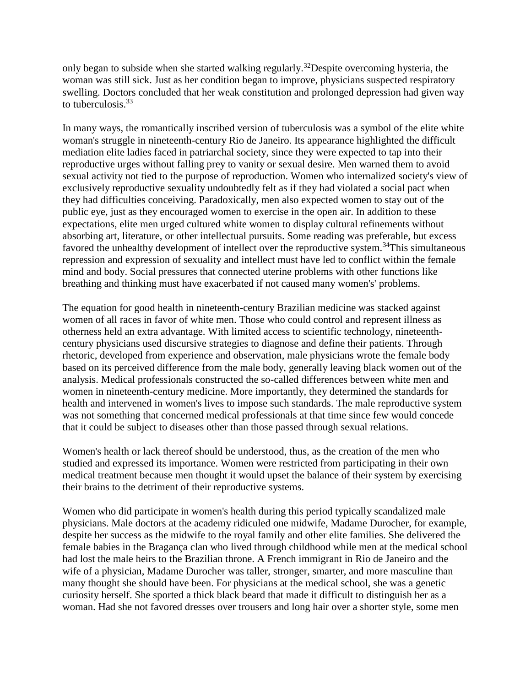only began to subside when she started walking regularly.<sup>32</sup>Despite overcoming hysteria, the woman was still sick. Just as her condition began to improve, physicians suspected respiratory swelling. Doctors concluded that her weak constitution and prolonged depression had given way to tuberculosis.<sup>33</sup>

In many ways, the romantically inscribed version of tuberculosis was a symbol of the elite white woman's struggle in nineteenth-century Rio de Janeiro. Its appearance highlighted the difficult mediation elite ladies faced in patriarchal society, since they were expected to tap into their reproductive urges without falling prey to vanity or sexual desire. Men warned them to avoid sexual activity not tied to the purpose of reproduction. Women who internalized society's view of exclusively reproductive sexuality undoubtedly felt as if they had violated a social pact when they had difficulties conceiving. Paradoxically, men also expected women to stay out of the public eye, just as they encouraged women to exercise in the open air. In addition to these expectations, elite men urged cultured white women to display cultural refinements without absorbing art, literature, or other intellectual pursuits. Some reading was preferable, but excess favored the unhealthy development of intellect over the reproductive system.<sup>34</sup>This simultaneous repression and expression of sexuality and intellect must have led to conflict within the female mind and body. Social pressures that connected uterine problems with other functions like breathing and thinking must have exacerbated if not caused many women's' problems.

The equation for good health in nineteenth-century Brazilian medicine was stacked against women of all races in favor of white men. Those who could control and represent illness as otherness held an extra advantage. With limited access to scientific technology, nineteenthcentury physicians used discursive strategies to diagnose and define their patients. Through rhetoric, developed from experience and observation, male physicians wrote the female body based on its perceived difference from the male body, generally leaving black women out of the analysis. Medical professionals constructed the so-called differences between white men and women in nineteenth-century medicine. More importantly, they determined the standards for health and intervened in women's lives to impose such standards. The male reproductive system was not something that concerned medical professionals at that time since few would concede that it could be subject to diseases other than those passed through sexual relations.

Women's health or lack thereof should be understood, thus, as the creation of the men who studied and expressed its importance. Women were restricted from participating in their own medical treatment because men thought it would upset the balance of their system by exercising their brains to the detriment of their reproductive systems.

Women who did participate in women's health during this period typically scandalized male physicians. Male doctors at the academy ridiculed one midwife, Madame Durocher, for example, despite her success as the midwife to the royal family and other elite families. She delivered the female babies in the Bragança clan who lived through childhood while men at the medical school had lost the male heirs to the Brazilian throne. A French immigrant in Rio de Janeiro and the wife of a physician, Madame Durocher was taller, stronger, smarter, and more masculine than many thought she should have been. For physicians at the medical school, she was a genetic curiosity herself. She sported a thick black beard that made it difficult to distinguish her as a woman. Had she not favored dresses over trousers and long hair over a shorter style, some men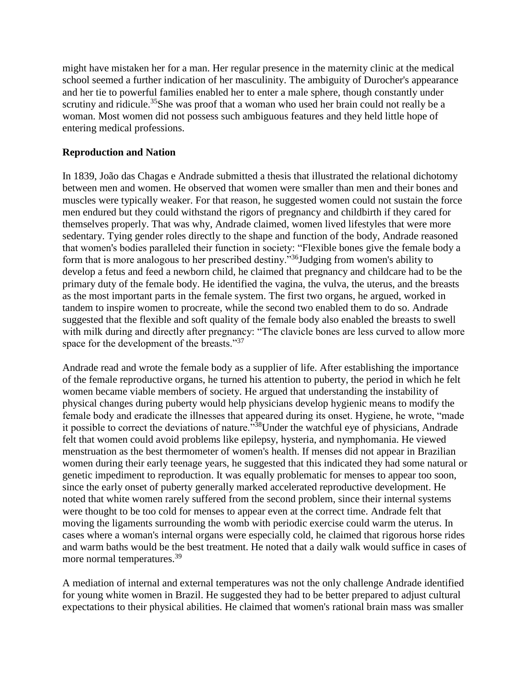might have mistaken her for a man. Her regular presence in the maternity clinic at the medical school seemed a further indication of her masculinity. The ambiguity of Durocher's appearance and her tie to powerful families enabled her to enter a male sphere, though constantly under scrutiny and ridicule.<sup>35</sup>She was proof that a woman who used her brain could not really be a woman. Most women did not possess such ambiguous features and they held little hope of entering medical professions.

#### **Reproduction and Nation**

In 1839, João das Chagas e Andrade submitted a thesis that illustrated the relational dichotomy between men and women. He observed that women were smaller than men and their bones and muscles were typically weaker. For that reason, he suggested women could not sustain the force men endured but they could withstand the rigors of pregnancy and childbirth if they cared for themselves properly. That was why, Andrade claimed, women lived lifestyles that were more sedentary. Tying gender roles directly to the shape and function of the body, Andrade reasoned that women's bodies paralleled their function in society: "Flexible bones give the female body a form that is more analogous to her prescribed destiny."<sup>36</sup>Judging from women's ability to develop a fetus and feed a newborn child, he claimed that pregnancy and childcare had to be the primary duty of the female body. He identified the vagina, the vulva, the uterus, and the breasts as the most important parts in the female system. The first two organs, he argued, worked in tandem to inspire women to procreate, while the second two enabled them to do so. Andrade suggested that the flexible and soft quality of the female body also enabled the breasts to swell with milk during and directly after pregnancy: "The clavicle bones are less curved to allow more space for the development of the breasts."<sup>37</sup>

Andrade read and wrote the female body as a supplier of life. After establishing the importance of the female reproductive organs, he turned his attention to puberty, the period in which he felt women became viable members of society. He argued that understanding the instability of physical changes during puberty would help physicians develop hygienic means to modify the female body and eradicate the illnesses that appeared during its onset. Hygiene, he wrote, "made it possible to correct the deviations of nature."<sup>38</sup>Under the watchful eye of physicians, Andrade felt that women could avoid problems like epilepsy, hysteria, and nymphomania. He viewed menstruation as the best thermometer of women's health. If menses did not appear in Brazilian women during their early teenage years, he suggested that this indicated they had some natural or genetic impediment to reproduction. It was equally problematic for menses to appear too soon, since the early onset of puberty generally marked accelerated reproductive development. He noted that white women rarely suffered from the second problem, since their internal systems were thought to be too cold for menses to appear even at the correct time. Andrade felt that moving the ligaments surrounding the womb with periodic exercise could warm the uterus. In cases where a woman's internal organs were especially cold, he claimed that rigorous horse rides and warm baths would be the best treatment. He noted that a daily walk would suffice in cases of more normal temperatures.<sup>39</sup>

A mediation of internal and external temperatures was not the only challenge Andrade identified for young white women in Brazil. He suggested they had to be better prepared to adjust cultural expectations to their physical abilities. He claimed that women's rational brain mass was smaller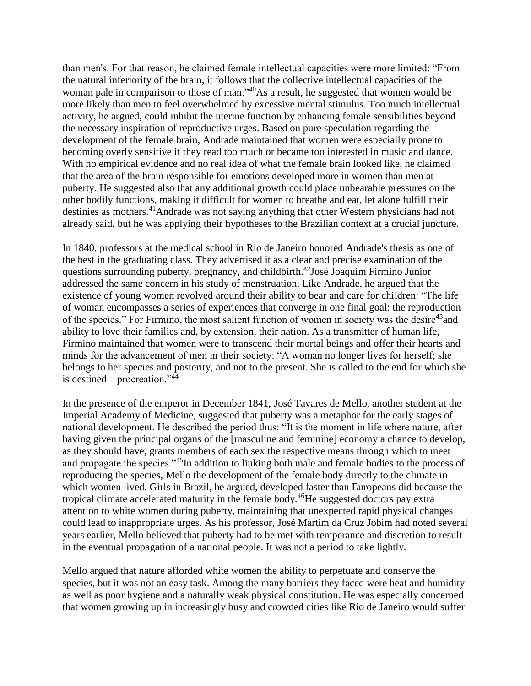than men's. For that reason, he claimed female intellectual capacities were more limited: "From the natural inferiority of the brain, it follows that the collective intellectual capacities of the woman pale in comparison to those of man."<sup>40</sup>As a result, he suggested that women would be more likely than men to feel overwhelmed by excessive mental stimulus. Too much intellectual activity, he argued, could inhibit the uterine function by enhancing female sensibilities beyond the necessary inspiration of reproductive urges. Based on pure speculation regarding the development of the female brain, Andrade maintained that women were especially prone to becoming overly sensitive if they read too much or became too interested in music and dance. With no empirical evidence and no real idea of what the female brain looked like, he claimed that the area of the brain responsible for emotions developed more in women than men at puberty. He suggested also that any additional growth could place unbearable pressures on the other bodily functions, making it difficult for women to breathe and eat, let alone fulfill their destinies as mothers.<sup>41</sup>Andrade was not saying anything that other Western physicians had not already said, but he was applying their hypotheses to the Brazilian context at a crucial juncture.

In 1840, professors at the medical school in Rio de Janeiro honored Andrade's thesis as one of the best in the graduating class. They advertised it as a clear and precise examination of the questions surrounding puberty, pregnancy, and childbirth.<sup>42</sup>José Joaquim Firmino Júnior addressed the same concern in his study of menstruation. Like Andrade, he argued that the existence of young women revolved around their ability to bear and care for children: "The life of woman encompasses a series of experiences that converge in one final goal: the reproduction of the species." For Firmino, the most salient function of women in society was the desire<sup>43</sup> and ability to love their families and, by extension, their nation. As a transmitter of human life, Firmino maintained that women were to transcend their mortal beings and offer their hearts and minds for the advancement of men in their society: "A woman no longer lives for herself; she belongs to her species and posterity, and not to the present. She is called to the end for which she is destined—procreation."<sup>44</sup>

In the presence of the emperor in December 1841, José Tavares de Mello, another student at the Imperial Academy of Medicine, suggested that puberty was a metaphor for the early stages of national development. He described the period thus: "It is the moment in life where nature, after having given the principal organs of the [masculine and feminine] economy a chance to develop, as they should have, grants members of each sex the respective means through which to meet and propagate the species."<sup>45</sup>In addition to linking both male and female bodies to the process of reproducing the species, Mello the development of the female body directly to the climate in which women lived. Girls in Brazil, he argued, developed faster than Europeans did because the tropical climate accelerated maturity in the female body.<sup>46</sup>He suggested doctors pay extra attention to white women during puberty, maintaining that unexpected rapid physical changes could lead to inappropriate urges. As his professor, José Martim da Cruz Jobim had noted several years earlier, Mello believed that puberty had to be met with temperance and discretion to result in the eventual propagation of a national people. It was not a period to take lightly.

Mello argued that nature afforded white women the ability to perpetuate and conserve the species, but it was not an easy task. Among the many barriers they faced were heat and humidity as well as poor hygiene and a naturally weak physical constitution. He was especially concerned that women growing up in increasingly busy and crowded cities like Rio de Janeiro would suffer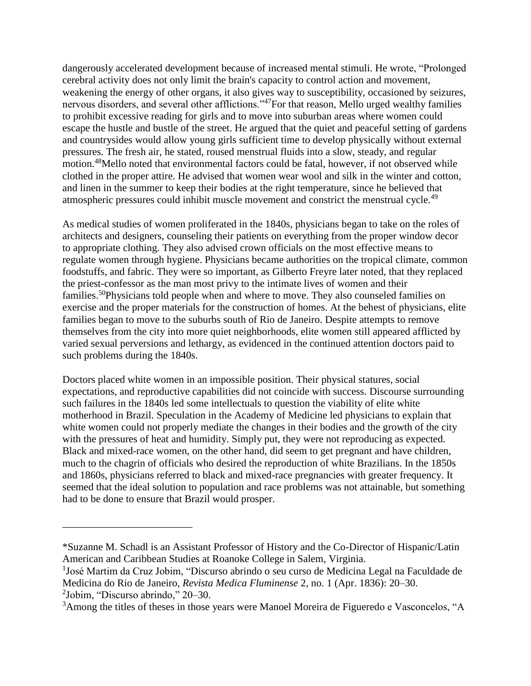dangerously accelerated development because of increased mental stimuli. He wrote, "Prolonged cerebral activity does not only limit the brain's capacity to control action and movement, weakening the energy of other organs, it also gives way to susceptibility, occasioned by seizures, nervous disorders, and several other afflictions."<sup>47</sup>For that reason, Mello urged wealthy families to prohibit excessive reading for girls and to move into suburban areas where women could escape the hustle and bustle of the street. He argued that the quiet and peaceful setting of gardens and countrysides would allow young girls sufficient time to develop physically without external pressures. The fresh air, he stated, roused menstrual fluids into a slow, steady, and regular motion.<sup>48</sup>Mello noted that environmental factors could be fatal, however, if not observed while clothed in the proper attire. He advised that women wear wool and silk in the winter and cotton, and linen in the summer to keep their bodies at the right temperature, since he believed that atmospheric pressures could inhibit muscle movement and constrict the menstrual cycle.<sup>49</sup>

As medical studies of women proliferated in the 1840s, physicians began to take on the roles of architects and designers, counseling their patients on everything from the proper window decor to appropriate clothing. They also advised crown officials on the most effective means to regulate women through hygiene. Physicians became authorities on the tropical climate, common foodstuffs, and fabric. They were so important, as Gilberto Freyre later noted, that they replaced the priest-confessor as the man most privy to the intimate lives of women and their families.<sup>50</sup>Physicians told people when and where to move. They also counseled families on exercise and the proper materials for the construction of homes. At the behest of physicians, elite families began to move to the suburbs south of Rio de Janeiro. Despite attempts to remove themselves from the city into more quiet neighborhoods, elite women still appeared afflicted by varied sexual perversions and lethargy, as evidenced in the continued attention doctors paid to such problems during the 1840s.

Doctors placed white women in an impossible position. Their physical statures, social expectations, and reproductive capabilities did not coincide with success. Discourse surrounding such failures in the 1840s led some intellectuals to question the viability of elite white motherhood in Brazil. Speculation in the Academy of Medicine led physicians to explain that white women could not properly mediate the changes in their bodies and the growth of the city with the pressures of heat and humidity. Simply put, they were not reproducing as expected. Black and mixed-race women, on the other hand, did seem to get pregnant and have children, much to the chagrin of officials who desired the reproduction of white Brazilians. In the 1850s and 1860s, physicians referred to black and mixed-race pregnancies with greater frequency. It seemed that the ideal solution to population and race problems was not attainable, but something had to be done to ensure that Brazil would prosper.

<sup>1</sup>José Martim da Cruz Jobim, "Discurso abrindo o seu curso de Medicina Legal na Faculdade de Medicina do Rio de Janeiro, *Revista Medica Fluminense* 2, no. 1 (Apr. 1836): 20–30.

2 Jobim, "Discurso abrindo," 20–30.

\_\_\_\_\_\_\_\_\_\_\_\_\_\_\_\_\_\_\_\_\_\_\_\_\_

<sup>\*</sup>Suzanne M. Schadl is an Assistant Professor of History and the Co-Director of Hispanic/Latin American and Caribbean Studies at Roanoke College in Salem, Virginia.

<sup>&</sup>lt;sup>3</sup>Among the titles of theses in those years were Manoel Moreira de Figueredo e Vasconcelos, "A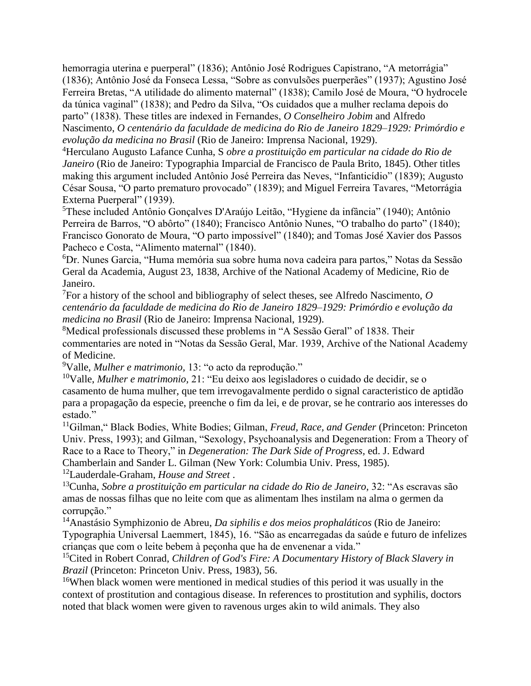hemorragia uterina e puerperal" (1836); Antônio José Rodrigues Capistrano, "A metorrágia" (1836); Antônio José da Fonseca Lessa, "Sobre as convulsões puerperães" (1937); Agustino José Ferreira Bretas, "A utilidade do alimento maternal" (1838); Camilo José de Moura, "O hydrocele da túnica vaginal" (1838); and Pedro da Silva, "Os cuidados que a mulher reclama depois do parto" (1838). These titles are indexed in Fernandes, *O Conselheiro Jobim* and Alfredo Nascimento, *O centenário da faculdade de medicina do Rio de Janeiro 1829–1929: Primórdio e evolução da medicina no Brasil* (Rio de Janeiro: Imprensa Nacional, 1929).

<sup>4</sup>Herculano Augusto Lafance Cunha, S *obre a prostituição em particular na cidade do Rio de Janeiro* (Rio de Janeiro: Typographia Imparcial de Francisco de Paula Brito, 1845). Other titles making this argument included Antônio José Perreira das Neves, "Infanticídio" (1839); Augusto César Sousa, "O parto prematuro provocado" (1839); and Miguel Ferreira Tavares, "Metorrágia Externa Puerperal" (1939).

<sup>5</sup>These included Antônio Gonçalves D'Araújo Leitão, "Hygiene da infância" (1940); Antônio Perreira de Barros, "O abôrto" (1840); Francisco Antônio Nunes, "O trabalho do parto" (1840); Francisco Gonorato de Moura, "O parto impossível" (1840); and Tomas José Xavier dos Passos Pacheco e Costa, "Alimento maternal" (1840).

<sup>6</sup>Dr. Nunes Garcia, "Huma memória sua sobre huma nova cadeira para partos," Notas da Sessão Geral da Academia, August 23, 1838, Archive of the National Academy of Medicine, Rio de Janeiro.

<sup>7</sup>For a history of the school and bibliography of select theses, see Alfredo Nascimento, *O centenário da faculdade de medicina do Rio de Janeiro 1829–1929: Primórdio e evolução da medicina no Brasil* (Rio de Janeiro: Imprensa Nacional, 1929).

<sup>8</sup>Medical professionals discussed these problems in "A Sessão Geral" of 1838. Their commentaries are noted in "Notas da Sessão Geral, Mar. 1939, Archive of the National Academy of Medicine.

<sup>9</sup>Valle, *Mulher e matrimonio,* 13: "o acto da reprodução."

<sup>10</sup>Valle, *Mulher e matrimonio,* 21: "Eu deixo aos legisladores o cuidado de decidir, se o casamento de huma mulher, que tem irrevogavalmente perdido o signal caracteristico de aptidão para a propagação da especie, preenche o fim da lei, e de provar, se he contrario aos interesses do estado."

<sup>11</sup>Gilman," Black Bodies, White Bodies; Gilman, *Freud, Race, and Gender* (Princeton: Princeton Univ. Press, 1993); and Gilman, "Sexology, Psychoanalysis and Degeneration: From a Theory of Race to a Race to Theory," in *Degeneration: The Dark Side of Progress,* ed. J. Edward

Chamberlain and Sander L. Gilman (New York: Columbia Univ. Press, 1985).

<sup>12</sup>Lauderdale-Graham, *House and Street* .

<sup>13</sup>Cunha, *Sobre a prostituição em particular na cidade do Rio de Janeiro,* 32: "As escravas são amas de nossas filhas que no leite com que as alimentam lhes instilam na alma o germen da corrupção."

<sup>14</sup>Anastásio Symphizonio de Abreu, *Da siphilis e dos meios prophaláticos* (Rio de Janeiro: Typographia Universal Laemmert, 1845), 16. "São as encarregadas da saúde e futuro de infelizes crianças que com o leite bebem à peçonha que ha de envenenar a vida."

<sup>15</sup>Cited in Robert Conrad, *Children of God's Fire: A Documentary History of Black Slavery in Brazil* (Princeton: Princeton Univ. Press, 1983), 56.

<sup>16</sup>When black women were mentioned in medical studies of this period it was usually in the context of prostitution and contagious disease. In references to prostitution and syphilis, doctors noted that black women were given to ravenous urges akin to wild animals. They also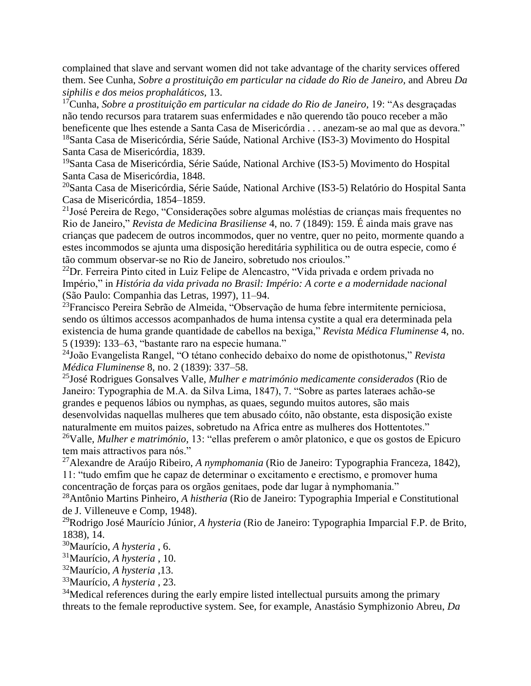complained that slave and servant women did not take advantage of the charity services offered them. See Cunha, *Sobre a prostituição em particular na cidade do Rio de Janeiro,* and Abreu *Da siphilis e dos meios prophaláticos,* 13.

<sup>17</sup>Cunha, *Sobre a prostituição em particular na cidade do Rio de Janeiro*, 19: "As desgraçadas não tendo recursos para tratarem suas enfermidades e não querendo tão pouco receber a mão beneficente que lhes estende a Santa Casa de Misericórdia . . . anezam-se ao mal que as devora." <sup>18</sup>Santa Casa de Misericórdia, Série Saúde, National Archive (IS3-3) Movimento do Hospital Santa Casa de Misericórdia, 1839.

<sup>19</sup>Santa Casa de Misericórdia, Série Saúde, National Archive (IS3-5) Movimento do Hospital Santa Casa de Misericórdia, 1848.

<sup>20</sup>Santa Casa de Misericórdia, Série Saúde, National Archive (IS3-5) Relatório do Hospital Santa Casa de Misericórdia, 1854–1859.

<sup>21</sup>José Pereira de Rego, "Considerações sobre algumas moléstias de crianças mais frequentes no Rio de Janeiro," *Revista de Medicina Brasiliense* 4, no. 7 (1849): 159. É ainda mais grave nas crianças que padecem de outros incommodos, quer no ventre, quer no peito, mormente quando a estes incommodos se ajunta uma disposição hereditária syphilitica ou de outra especie, como é tão commum observar-se no Rio de Janeiro, sobretudo nos crioulos."

<sup>22</sup>Dr. Ferreira Pinto cited in Luiz Felipe de Alencastro, "Vida privada e ordem privada no Império," in *História da vida privada no Brasil: Império: A corte e a modernidade nacional*  (São Paulo: Companhia das Letras, 1997), 11–94.

<sup>23</sup>Francisco Pereira Sebrão de Almeida, "Observação de huma febre intermitente perniciosa, sendo os últimos accessos acompanhados de huma intensa cystite a qual era determinada pela existencia de huma grande quantidade de cabellos na bexiga," *Revista Médica Fluminense* 4, no. 5 (1939): 133–63, "bastante raro na especie humana."

<sup>24</sup>João Evangelista Rangel, "O tétano conhecido debaixo do nome de opisthotonus," *Revista Médica Fluminense* 8, no. 2 (1839): 337–58.

<sup>25</sup>José Rodrigues Gonsalves Valle, *Mulher e matrimónio medicamente considerados* (Rio de Janeiro: Typographia de M.A. da Silva Lima, 1847), 7. "Sobre as partes lateraes achão-se grandes e pequenos lábios ou nymphas, as quaes, segundo muitos autores, são mais desenvolvidas naquellas mulheres que tem abusado cóito, não obstante, esta disposição existe naturalmente em muitos paizes, sobretudo na Africa entre as mulheres dos Hottentotes." <sup>26</sup>Valle, *Mulher e matrimónio,* 13: "ellas preferem o amôr platonico, e que os gostos de Epicuro tem mais attractivos para nós."

<sup>27</sup>Alexandre de Araújo Ribeiro, *A nymphomania* (Rio de Janeiro: Typographia Franceza, 1842), 11: "tudo emfim que he capaz de determinar o excitamento e erectismo, e promover huma concentração de forças para os orgãos genitaes, pode dar lugar à nymphomania."

<sup>28</sup>Antônio Martins Pinheiro, *A histheria* (Rio de Janeiro: Typographia Imperial e Constitutional de J. Villeneuve e Comp, 1948).

<sup>29</sup>Rodrigo José Maurício Júnior, *A hysteria* (Rio de Janeiro: Typographia Imparcial F.P. de Brito, 1838), 14.

<sup>30</sup>Maurício, *A hysteria* , 6.

<sup>31</sup>Maurício, *A hysteria* , 10.

<sup>32</sup>Maurício, *A hysteria* ,13.

<sup>33</sup>Maurício, *A hysteria* , 23.

<sup>34</sup>Medical references during the early empire listed intellectual pursuits among the primary threats to the female reproductive system. See, for example, Anastásio Symphizonio Abreu, *Da*